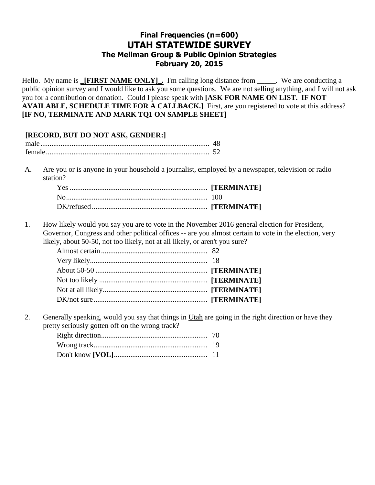# **Final Frequencies (n=600) UTAH STATEWIDE SURVEY The Mellman Group & Public Opinion Strategies February 20, 2015**

Hello. My name is **\_[FIRST NAME ONLY]**. I'm calling long distance from \_\_\_\_\_. We are conducting a public opinion survey and I would like to ask you some questions. We are not selling anything, and I will not ask you for a contribution or donation. Could I please speak with **[ASK FOR NAME ON LIST. IF NOT AVAILABLE, SCHEDULE TIME FOR A CALLBACK.]** First, are you registered to vote at this address? **[IF NO, TERMINATE AND MARK TQ1 ON SAMPLE SHEET]**

## **[RECORD, BUT DO NOT ASK, GENDER:]** male............................................................................................ 48 female......................................................................................... 52

A. Are you or is anyone in your household a journalist, employed by a newspaper, television or radio station?

1. How likely would you say you are to vote in the November 2016 general election for President, Governor, Congress and other political offices -- are you almost certain to vote in the election, very likely, about 50-50, not too likely, not at all likely, or aren't you sure?

2. Generally speaking, would you say that things in Utah are going in the right direction or have they pretty seriously gotten off on the wrong track?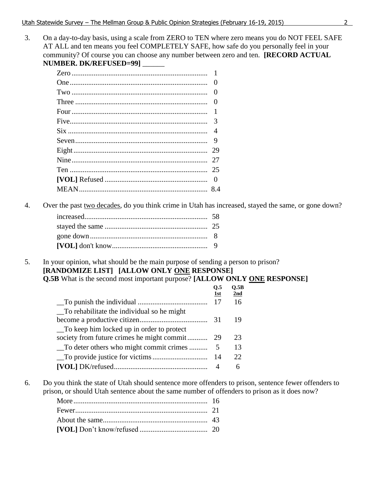On a day-to-day basis, using a scale from ZERO to TEN where zero means you do NOT FEEL SAFE  $3.$ AT ALL and ten means you feel COMPLETELY SAFE, how safe do you personally feel in your community? Of course you can choose any number between zero and ten. [RECORD ACTUAL NUMBER. DK/REFUSED=99]\_\_\_\_\_

| $\theta$       |
|----------------|
| $\theta$       |
| $\theta$       |
| $\overline{1}$ |
| 3              |
|                |
| 9              |
| 29             |
| 27             |
| 25             |
| - ()           |
|                |

 $4.$ Over the past two decades, do you think crime in Utah has increased, stayed the same, or gone down?  $\Delta \sim 10^4$ 

 $\sim$   $\sim$ 

5. In your opinion, what should be the main purpose of sending a person to prison? [RANDOMIZE LIST] [ALLOW ONLY ONE RESPONSE] **Q.5B** What is the second most important purpose? [ALLOW ONLY ONE RESPONSE]

|                                            | U.5<br>1st | V.5B<br>2nd |
|--------------------------------------------|------------|-------------|
|                                            | - 17       | 16          |
| To rehabilitate the individual so he might |            |             |
|                                            |            | 19          |
| To keep him locked up in order to protect  |            |             |
| society from future crimes he might commit | -29        | 23          |
| To deter others who might commit crimes    |            | 13          |
|                                            |            | 22          |
|                                            |            | 6           |

Do you think the state of Utah should sentence more offenders to prison, sentence fewer offenders to 6. prison, or should Utah sentence about the same number of offenders to prison as it does now?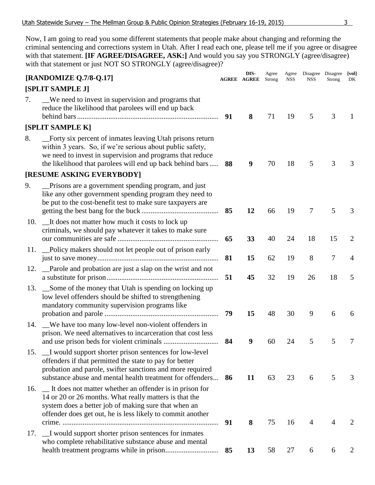Now, I am going to read you some different statements that people make about changing and reforming the criminal sentencing and corrections system in Utah. After I read each one, please tell me if you agree or disagree with that statement. **[IF AGREE/DISAGREE, ASK:]** And would you say you STRONGLY (agree/disagree) with that statement or just NOT SO STRONGLY (agree/disagree)?

|     | [RANDOMIZE Q.7/8-Q.17]                                                                                                                                                                                                                           |    | DIS-<br><b>AGREE AGREE</b> | Agree<br>Strong | Agree<br><b>NSS</b> | NSS            | Disagree Disagree<br>Strong | [vol]<br>DK    |
|-----|--------------------------------------------------------------------------------------------------------------------------------------------------------------------------------------------------------------------------------------------------|----|----------------------------|-----------------|---------------------|----------------|-----------------------------|----------------|
|     | [SPLIT SAMPLE J]                                                                                                                                                                                                                                 |    |                            |                 |                     |                |                             |                |
| 7.  | We need to invest in supervision and programs that<br>reduce the likelihood that parolees will end up back                                                                                                                                       | 91 | 8                          | 71              | 19                  | 5              | 3                           | $\mathbf{I}$   |
|     | [SPLIT SAMPLE K]                                                                                                                                                                                                                                 |    |                            |                 |                     |                |                             |                |
| 8.  | _Forty six percent of inmates leaving Utah prisons return<br>within 3 years. So, if we're serious about public safety,<br>we need to invest in supervision and programs that reduce<br>the likelihood that parolees will end up back behind bars | 88 | 9                          | 70              | 18                  | 5              | 3                           | 3              |
|     | [RESUME ASKING EVERYBODY]                                                                                                                                                                                                                        |    |                            |                 |                     |                |                             |                |
| 9.  | Prisons are a government spending program, and just<br>like any other government spending program they need to<br>be put to the cost-benefit test to make sure taxpayers are                                                                     | 85 | 12                         | 66              | 19                  | $\overline{7}$ | 5                           | 3              |
| 10. | It does not matter how much it costs to lock up<br>criminals, we should pay whatever it takes to make sure                                                                                                                                       | 65 | 33                         | 40              | 24                  | 18             | 15                          | 2              |
| 11. | Policy makers should not let people out of prison early                                                                                                                                                                                          | 81 | 15                         | 62              | 19                  | 8              | $\tau$                      | $\overline{4}$ |
| 12. | _Parole and probation are just a slap on the wrist and not                                                                                                                                                                                       | 51 | 45                         | 32              | 19                  | 26             | 18                          | 5              |
| 13. | Some of the money that Utah is spending on locking up<br>low level offenders should be shifted to strengthening<br>mandatory community supervision programs like                                                                                 | 79 | 15                         | 48              | 30                  | 9              | 6                           | 6              |
| 14. | We have too many low-level non-violent offenders in<br>prison. We need alternatives to incarceration that cost less                                                                                                                              | 84 | 9                          | 60              | 24                  | 5              | 5                           | 7              |
|     | 15. I would support shorter prison sentences for low-level<br>offenders if that permitted the state to pay for better<br>probation and parole, swifter sanctions and more required<br>substance abuse and mental health treatment for offenders  | 86 | 11                         | 63              | 23                  | 6              | 5                           | 3              |
| 16. | It does not matter whether an offender is in prison for<br>14 or 20 or 26 months. What really matters is that the<br>system does a better job of making sure that when an<br>offender does get out, he is less likely to commit another          |    |                            |                 |                     |                |                             |                |
| 17. | _I would support shorter prison sentences for inmates                                                                                                                                                                                            | 91 | 8                          | 75              | 16                  | $\overline{4}$ | $\overline{4}$              | 2              |
|     | who complete rehabilitative substance abuse and mental                                                                                                                                                                                           | 85 | 13                         | 58              | 27                  | 6              | 6                           | 2              |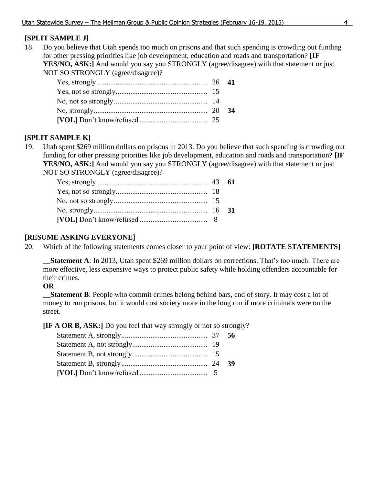## **[SPLIT SAMPLE J]**

18. Do you believe that Utah spends too much on prisons and that such spending is crowding out funding for other pressing priorities like job development, education and roads and transportation? **[IF**  YES/NO, ASK:] And would you say you STRONGLY (agree/disagree) with that statement or just NOT SO STRONGLY (agree/disagree)?

|  | 34 |
|--|----|
|  |    |

## **[SPLIT SAMPLE K]**

19. Utah spent \$269 million dollars on prisons in 2013. Do you believe that such spending is crowding out funding for other pressing priorities like job development, education and roads and transportation? **[IF**  YES/NO, ASK:] And would you say you STRONGLY (agree/disagree) with that statement or just NOT SO STRONGLY (agree/disagree)?

## **[RESUME ASKING EVERYONE]**

20. Which of the following statements comes closer to your point of view: **[ROTATE STATEMENTS]**

\_\_**Statement A**: In 2013, Utah spent \$269 million dollars on corrections. That's too much. There are more effective, less expensive ways to protect public safety while holding offenders accountable for their crimes.

## **OR**

\_\_**Statement B**: People who commit crimes belong behind bars, end of story. It may cost a lot of money to run prisons, but it would cost society more in the long run if more criminals were on the street.

**[IF A OR B, ASK:]** Do you feel that way strongly or not so strongly?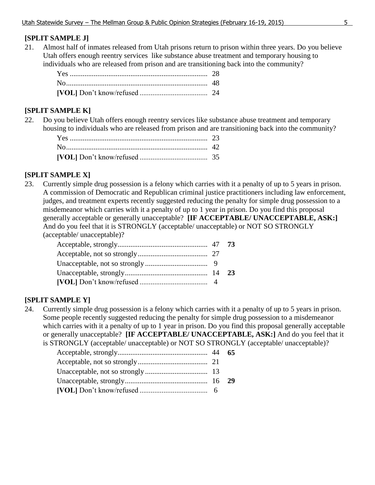## **[SPLIT SAMPLE J]**

21. Almost half of inmates released from Utah prisons return to prison within three years. Do you believe Utah offers enough reentry services like substance abuse treatment and temporary housing to individuals who are released from prison and are transitioning back into the community?

## **[SPLIT SAMPLE K]**

22. Do you believe Utah offers enough reentry services like substance abuse treatment and temporary housing to individuals who are released from prison and are transitioning back into the community?

## **[SPLIT SAMPLE X]**

23. Currently simple drug possession is a felony which carries with it a penalty of up to 5 years in prison. A commission of Democratic and Republican criminal justice practitioners including law enforcement, judges, and treatment experts recently suggested reducing the penalty for simple drug possession to a misdemeanor which carries with it a penalty of up to 1 year in prison. Do you find this proposal generally acceptable or generally unacceptable? **[IF ACCEPTABLE/ UNACCEPTABLE, ASK:]** And do you feel that it is STRONGLY (acceptable/ unacceptable) or NOT SO STRONGLY (acceptable/ unacceptable)?

## **[SPLIT SAMPLE Y]**

24. Currently simple drug possession is a felony which carries with it a penalty of up to 5 years in prison. Some people recently suggested reducing the penalty for simple drug possession to a misdemeanor which carries with it a penalty of up to 1 year in prison. Do you find this proposal generally acceptable or generally unacceptable? **[IF ACCEPTABLE/ UNACCEPTABLE, ASK:]** And do you feel that it is STRONGLY (acceptable/ unacceptable) or NOT SO STRONGLY (acceptable/ unacceptable)?

| 65 |
|----|
|    |
|    |
|    |
|    |
|    |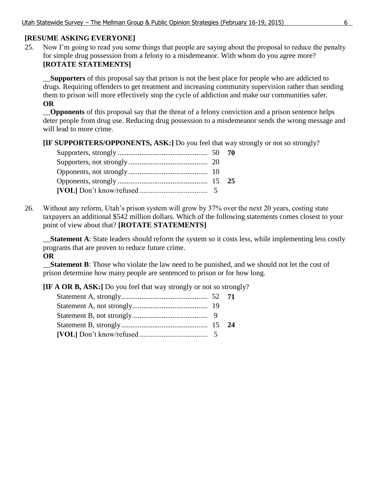## **[RESUME ASKING EVERYONE]**

25. Now I'm going to read you some things that people are saying about the proposal to reduce the penalty for simple drug possession from a felony to a misdemeanor. With whom do you agree more? **[ROTATE STATEMENTS]**

\_\_**Supporters** of this proposal say that prison is not the best place for people who are addicted to drugs. Requiring offenders to get treatment and increasing community supervision rather than sending them to prison will more effectively stop the cycle of addiction and make our communities safer. **OR**

\_\_**Opponents** of this proposal say that the threat of a felony conviction and a prison sentence helps deter people from drug use. Reducing drug possession to a misdemeanor sends the wrong message and will lead to more crime.

**[IF SUPPORTERS/OPPONENTS, ASK:]** Do you feel that way strongly or not so strongly?

26. Without any reform, Utah's prison system will grow by 37% over the next 20 years, costing state taxpayers an additional \$542 million dollars. Which of the following statements comes closest to your point of view about that? **[ROTATE STATEMENTS]**

\_\_**Statement A**: State leaders should reform the system so it costs less, while implementing less costly programs that are proven to reduce future crime. **OR**

\_\_**Statement B**: Those who violate the law need to be punished, and we should not let the cost of prison determine how many people are sentenced to prison or for how long.

**[IF A OR B, ASK:]** Do you feel that way strongly or not so strongly?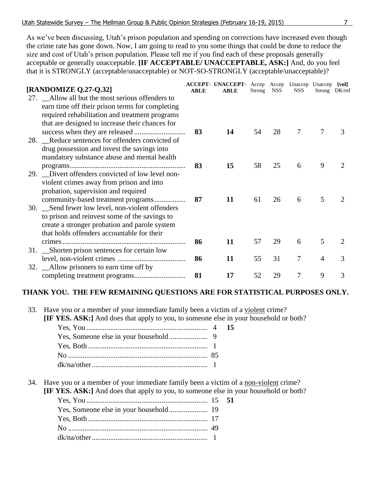As we've been discussing, Utah's prison population and spending on corrections have increased even though the crime rate has gone down. Now, I am going to read to you some things that could be done to reduce the size and cost of Utah's prison population. Please tell me if you find each of these proposals generally acceptable or generally unacceptable. **[IF ACCEPTABLE/ UNACCEPTABLE, ASK:]** And, do you feel that it is STRONGLY (acceptable/unacceptable) or NOT-SO-STRONGLY (acceptable/unacceptable)?

|                                                  |             | ACCEPT- UNACCEPT- Accep Accep Unaccep Unaccep [vol] |        |            |                |   |                             |
|--------------------------------------------------|-------------|-----------------------------------------------------|--------|------------|----------------|---|-----------------------------|
| [RANDOMIZE Q.27-Q.32]                            | <b>ABLE</b> | <b>ABLE</b>                                         | Strong | <b>NSS</b> | <b>NSS</b>     |   | Strong DK/ref               |
| 27. Allow all but the most serious offenders to  |             |                                                     |        |            |                |   |                             |
| earn time off their prison terms for completing  |             |                                                     |        |            |                |   |                             |
| required rehabilitation and treatment programs   |             |                                                     |        |            |                |   |                             |
| that are designed to increase their chances for  |             |                                                     |        |            |                |   |                             |
|                                                  | 83          | 14                                                  | 54     | 28         | 7              | 7 | 3                           |
| 28. Reduce sentences for offenders convicted of  |             |                                                     |        |            |                |   |                             |
| drug possession and invest the savings into      |             |                                                     |        |            |                |   |                             |
|                                                  |             |                                                     |        |            |                |   |                             |
| mandatory substance abuse and mental health      |             |                                                     |        |            |                |   |                             |
|                                                  | 83          | 15                                                  | 58     | 25         | 6              | 9 |                             |
| 29. Divert offenders convicted of low level non- |             |                                                     |        |            |                |   |                             |
| violent crimes away from prison and into         |             |                                                     |        |            |                |   |                             |
| probation, supervision and required              |             |                                                     |        |            |                |   |                             |
| community-based treatment programs               | 87          | 11                                                  | 61     | 26         | 6              | 5 | $\mathcal{D}_{\mathcal{L}}$ |
| 30. Send fewer low level, non-violent offenders  |             |                                                     |        |            |                |   |                             |
| to prison and reinvest some of the savings to    |             |                                                     |        |            |                |   |                             |
| create a stronger probation and parole system    |             |                                                     |        |            |                |   |                             |
| that holds offenders accountable for their       |             |                                                     |        |            |                |   |                             |
|                                                  | 86          | 11                                                  | 57     | 29         | 6              | 5 | 2                           |
|                                                  |             |                                                     |        |            |                |   |                             |
| 31. Shorten prison sentences for certain low     |             |                                                     |        |            |                |   |                             |
|                                                  | 86          | 11                                                  | 55     | 31         | $\overline{7}$ | 4 | 3                           |
| 32. Allow prisoners to earn time off by          |             |                                                     |        |            |                |   |                             |
|                                                  | 81          | 17                                                  | 52     | 29         | 7              | 9 | 3                           |

## **THANK YOU. THE FEW REMAINING QUESTIONS ARE FOR STATISTICAL PURPOSES ONLY.**

| 33. Have you or a member of your immediate family been a victim of a violent crime?        |  |  |
|--------------------------------------------------------------------------------------------|--|--|
| <b>IF YES. ASK:</b> And does that apply to you, to someone else in your household or both? |  |  |
|                                                                                            |  |  |
|                                                                                            |  |  |
|                                                                                            |  |  |
|                                                                                            |  |  |
|                                                                                            |  |  |

34. Have you or a member of your immediate family been a victim of a non-violent crime?

**[IF YES. ASK:]** And does that apply to you, to someone else in your household or both?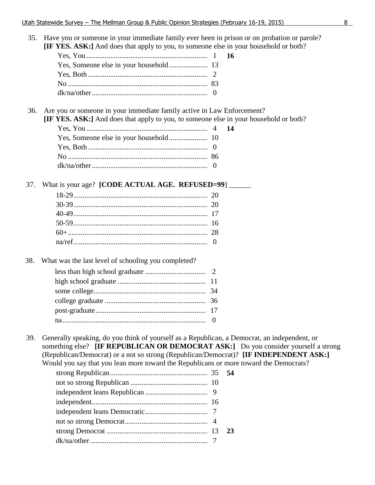## 35. Have you or someone in your immediate family ever been in prison or on probation or parole? **[IF YES. ASK:]** And does that apply to you, to someone else in your household or both?

## 36. Are you or someone in your immediate family active in Law Enforcement?

**[IF YES. ASK:]** And does that apply to you, to someone else in your household or both?

#### 37. What is your age? **[CODE ACTUAL AGE. REFUSED=99**] \_\_\_\_\_\_

#### 38. What was the last level of schooling you completed?

39. Generally speaking, do you think of yourself as a Republican, a Democrat, an independent, or something else? **[IF REPUBLICAN OR DEMOCRAT ASK:]** Do you consider yourself a strong (Republican/Democrat) or a not so strong (Republican/Democrat)? **[IF INDEPENDENT ASK:]** Would you say that you lean more toward the Republicans or more toward the Democrats?

|  | 23 |
|--|----|
|  |    |
|  |    |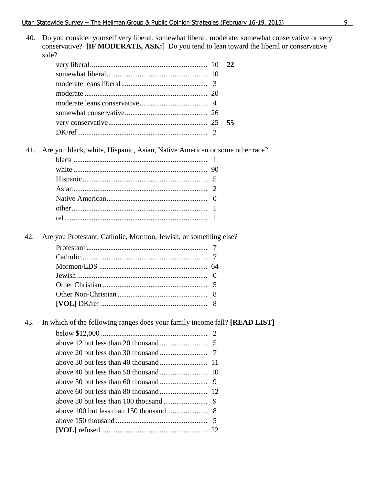| 40. | Do you consider yourself very liberal, somewhat liberal, moderate, somewhat conservative or very<br>conservative? [IF MODERATE, ASK:] Do you tend to lean toward the liberal or conservative<br>side? |  |    |  |  |
|-----|-------------------------------------------------------------------------------------------------------------------------------------------------------------------------------------------------------|--|----|--|--|
|     |                                                                                                                                                                                                       |  | 22 |  |  |
|     |                                                                                                                                                                                                       |  |    |  |  |
|     |                                                                                                                                                                                                       |  |    |  |  |
|     |                                                                                                                                                                                                       |  |    |  |  |
|     |                                                                                                                                                                                                       |  |    |  |  |
|     |                                                                                                                                                                                                       |  |    |  |  |
|     |                                                                                                                                                                                                       |  | 55 |  |  |
|     |                                                                                                                                                                                                       |  |    |  |  |
| 41. | Are you black, white, Hispanic, Asian, Native American or some other race?                                                                                                                            |  |    |  |  |
|     |                                                                                                                                                                                                       |  |    |  |  |
|     |                                                                                                                                                                                                       |  |    |  |  |
|     |                                                                                                                                                                                                       |  |    |  |  |
|     |                                                                                                                                                                                                       |  |    |  |  |
|     |                                                                                                                                                                                                       |  |    |  |  |
|     |                                                                                                                                                                                                       |  |    |  |  |
|     |                                                                                                                                                                                                       |  |    |  |  |
| 42. | Are you Protestant, Catholic, Mormon, Jewish, or something else?                                                                                                                                      |  |    |  |  |
|     |                                                                                                                                                                                                       |  |    |  |  |
|     |                                                                                                                                                                                                       |  |    |  |  |
|     |                                                                                                                                                                                                       |  |    |  |  |
|     |                                                                                                                                                                                                       |  |    |  |  |
|     |                                                                                                                                                                                                       |  |    |  |  |
|     |                                                                                                                                                                                                       |  |    |  |  |
|     |                                                                                                                                                                                                       |  |    |  |  |
| 43. | In which of the following ranges does your family income fall? [READ LIST]                                                                                                                            |  |    |  |  |
|     |                                                                                                                                                                                                       |  |    |  |  |
|     |                                                                                                                                                                                                       |  |    |  |  |
|     |                                                                                                                                                                                                       |  |    |  |  |
|     |                                                                                                                                                                                                       |  |    |  |  |
|     |                                                                                                                                                                                                       |  |    |  |  |
|     |                                                                                                                                                                                                       |  |    |  |  |
|     |                                                                                                                                                                                                       |  |    |  |  |
|     |                                                                                                                                                                                                       |  |    |  |  |
|     |                                                                                                                                                                                                       |  |    |  |  |
|     |                                                                                                                                                                                                       |  |    |  |  |
|     |                                                                                                                                                                                                       |  |    |  |  |